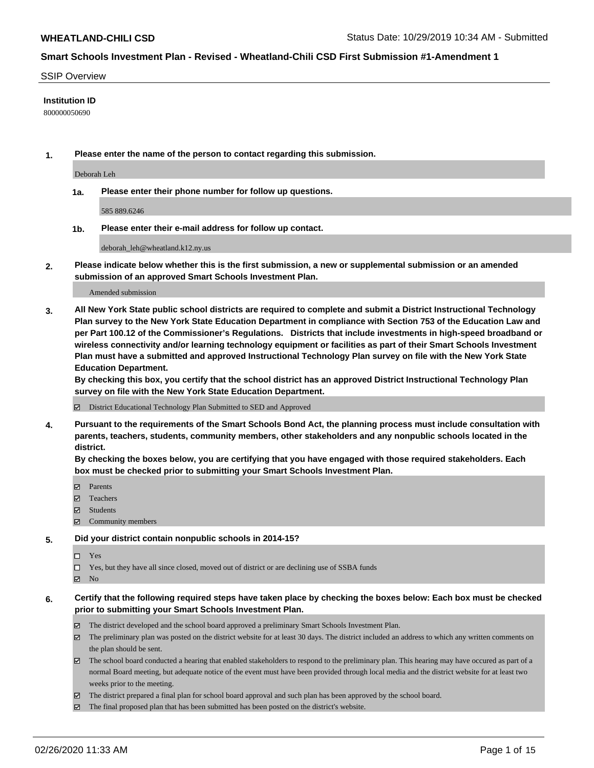#### SSIP Overview

#### **Institution ID**

800000050690

**1. Please enter the name of the person to contact regarding this submission.**

Deborah Leh

**1a. Please enter their phone number for follow up questions.**

585 889.6246

**1b. Please enter their e-mail address for follow up contact.**

deborah\_leh@wheatland.k12.ny.us

**2. Please indicate below whether this is the first submission, a new or supplemental submission or an amended submission of an approved Smart Schools Investment Plan.**

#### Amended submission

**3. All New York State public school districts are required to complete and submit a District Instructional Technology Plan survey to the New York State Education Department in compliance with Section 753 of the Education Law and per Part 100.12 of the Commissioner's Regulations. Districts that include investments in high-speed broadband or wireless connectivity and/or learning technology equipment or facilities as part of their Smart Schools Investment Plan must have a submitted and approved Instructional Technology Plan survey on file with the New York State Education Department.** 

**By checking this box, you certify that the school district has an approved District Instructional Technology Plan survey on file with the New York State Education Department.**

District Educational Technology Plan Submitted to SED and Approved

**4. Pursuant to the requirements of the Smart Schools Bond Act, the planning process must include consultation with parents, teachers, students, community members, other stakeholders and any nonpublic schools located in the district.** 

**By checking the boxes below, you are certifying that you have engaged with those required stakeholders. Each box must be checked prior to submitting your Smart Schools Investment Plan.**

- **マ** Parents
- Teachers
- Students
- $\Xi$  Community members

#### **5. Did your district contain nonpublic schools in 2014-15?**

 $\neg$  Yes

Yes, but they have all since closed, moved out of district or are declining use of SSBA funds

**Z** No

## **6. Certify that the following required steps have taken place by checking the boxes below: Each box must be checked prior to submitting your Smart Schools Investment Plan.**

- The district developed and the school board approved a preliminary Smart Schools Investment Plan.
- $\boxtimes$  The preliminary plan was posted on the district website for at least 30 days. The district included an address to which any written comments on the plan should be sent.
- $\boxtimes$  The school board conducted a hearing that enabled stakeholders to respond to the preliminary plan. This hearing may have occured as part of a normal Board meeting, but adequate notice of the event must have been provided through local media and the district website for at least two weeks prior to the meeting.
- The district prepared a final plan for school board approval and such plan has been approved by the school board.
- The final proposed plan that has been submitted has been posted on the district's website.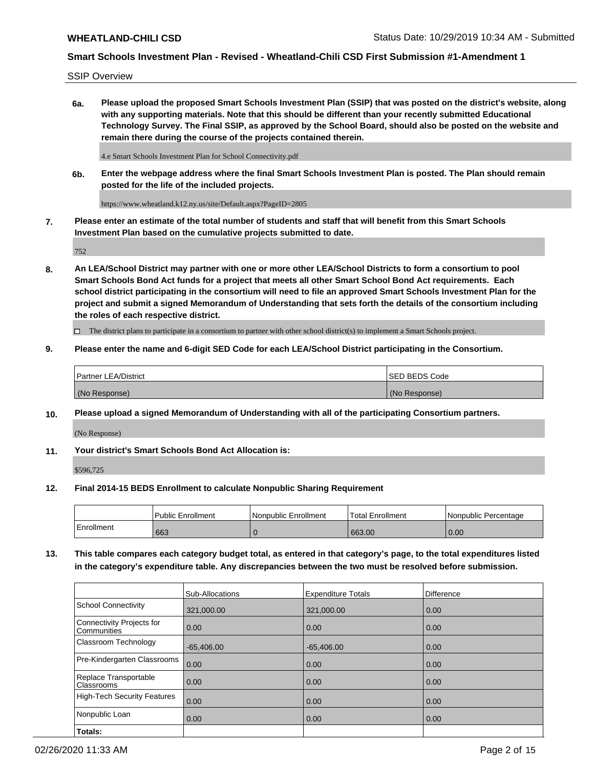SSIP Overview

**6a. Please upload the proposed Smart Schools Investment Plan (SSIP) that was posted on the district's website, along with any supporting materials. Note that this should be different than your recently submitted Educational Technology Survey. The Final SSIP, as approved by the School Board, should also be posted on the website and remain there during the course of the projects contained therein.**

4.e Smart Schools Investment Plan for School Connectivity.pdf

**6b. Enter the webpage address where the final Smart Schools Investment Plan is posted. The Plan should remain posted for the life of the included projects.**

https://www.wheatland.k12.ny.us/site/Default.aspx?PageID=2805

**7. Please enter an estimate of the total number of students and staff that will benefit from this Smart Schools Investment Plan based on the cumulative projects submitted to date.**

752

**8. An LEA/School District may partner with one or more other LEA/School Districts to form a consortium to pool Smart Schools Bond Act funds for a project that meets all other Smart School Bond Act requirements. Each school district participating in the consortium will need to file an approved Smart Schools Investment Plan for the project and submit a signed Memorandum of Understanding that sets forth the details of the consortium including the roles of each respective district.**

 $\Box$  The district plans to participate in a consortium to partner with other school district(s) to implement a Smart Schools project.

## **9. Please enter the name and 6-digit SED Code for each LEA/School District participating in the Consortium.**

| Partner LEA/District | <b>ISED BEDS Code</b> |
|----------------------|-----------------------|
| (No Response)        | (No Response)         |

## **10. Please upload a signed Memorandum of Understanding with all of the participating Consortium partners.**

(No Response)

**11. Your district's Smart Schools Bond Act Allocation is:**

\$596,725

#### **12. Final 2014-15 BEDS Enrollment to calculate Nonpublic Sharing Requirement**

|            | <b>Public Enrollment</b> | Nonpublic Enrollment | <b>Total Enrollment</b> | l Nonpublic Percentage |
|------------|--------------------------|----------------------|-------------------------|------------------------|
| Enrollment | 663                      |                      | 663.00                  | 0.00                   |

**13. This table compares each category budget total, as entered in that category's page, to the total expenditures listed in the category's expenditure table. Any discrepancies between the two must be resolved before submission.**

|                                          | Sub-Allocations | <b>Expenditure Totals</b> | <b>Difference</b> |
|------------------------------------------|-----------------|---------------------------|-------------------|
| <b>School Connectivity</b>               | 321,000.00      | 321,000.00                | 0.00              |
| Connectivity Projects for<br>Communities | 0.00            | 0.00                      | 0.00              |
| Classroom Technology                     | $-65,406.00$    | $-65,406.00$              | 0.00              |
| Pre-Kindergarten Classrooms              | 0.00            | 0.00                      | 0.00              |
| Replace Transportable<br>Classrooms      | 0.00            | 0.00                      | 0.00              |
| <b>High-Tech Security Features</b>       | 0.00            | 0.00                      | 0.00              |
| Nonpublic Loan                           | 0.00            | 0.00                      | 0.00              |
| Totals:                                  |                 |                           |                   |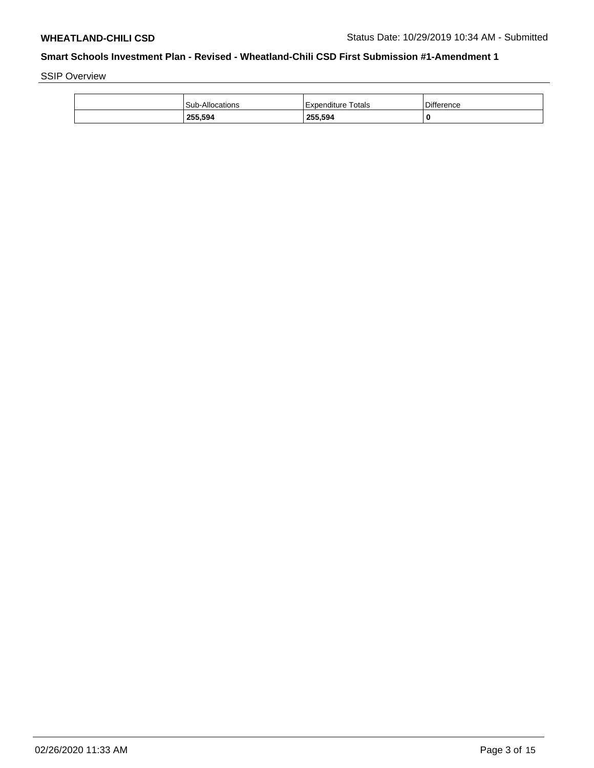SSIP Overview

| 255,594                | 255,594            | 0                 |
|------------------------|--------------------|-------------------|
| <b>Sub-Allocations</b> | Expenditure Totals | <b>Difference</b> |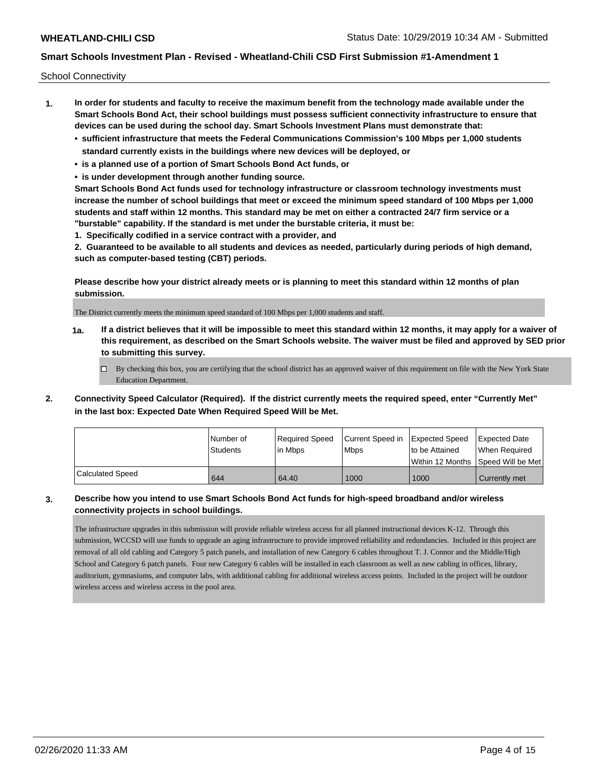School Connectivity

- **1. In order for students and faculty to receive the maximum benefit from the technology made available under the Smart Schools Bond Act, their school buildings must possess sufficient connectivity infrastructure to ensure that devices can be used during the school day. Smart Schools Investment Plans must demonstrate that:**
	- **• sufficient infrastructure that meets the Federal Communications Commission's 100 Mbps per 1,000 students standard currently exists in the buildings where new devices will be deployed, or**
	- **• is a planned use of a portion of Smart Schools Bond Act funds, or**
	- **• is under development through another funding source.**

**Smart Schools Bond Act funds used for technology infrastructure or classroom technology investments must increase the number of school buildings that meet or exceed the minimum speed standard of 100 Mbps per 1,000 students and staff within 12 months. This standard may be met on either a contracted 24/7 firm service or a "burstable" capability. If the standard is met under the burstable criteria, it must be:**

**1. Specifically codified in a service contract with a provider, and**

**2. Guaranteed to be available to all students and devices as needed, particularly during periods of high demand, such as computer-based testing (CBT) periods.**

**Please describe how your district already meets or is planning to meet this standard within 12 months of plan submission.**

The District currently meets the minimum speed standard of 100 Mbps per 1,000 students and staff.

**1a. If a district believes that it will be impossible to meet this standard within 12 months, it may apply for a waiver of this requirement, as described on the Smart Schools website. The waiver must be filed and approved by SED prior to submitting this survey.**

 $\Box$  By checking this box, you are certifying that the school district has an approved waiver of this requirement on file with the New York State Education Department.

**2. Connectivity Speed Calculator (Required). If the district currently meets the required speed, enter "Currently Met" in the last box: Expected Date When Required Speed Will be Met.**

|                  | l Number of<br><b>Students</b> | Required Speed<br>l in Mbps | Current Speed in Expected Speed<br>l Mbps | to be Attained | <b>Expected Date</b><br>When Required |
|------------------|--------------------------------|-----------------------------|-------------------------------------------|----------------|---------------------------------------|
|                  |                                |                             |                                           |                | Within 12 Months 1Speed Will be Met   |
| Calculated Speed | 644                            | 64.40                       | 1000                                      | 1000           | Currently met                         |

## **3. Describe how you intend to use Smart Schools Bond Act funds for high-speed broadband and/or wireless connectivity projects in school buildings.**

The infrastructure upgrades in this submission will provide reliable wireless access for all planned instructional devices K-12. Through this submission, WCCSD will use funds to upgrade an aging infrastructure to provide improved reliability and redundancies. Included in this project are removal of all old cabling and Category 5 patch panels, and installation of new Category 6 cables throughout T. J. Connor and the Middle/High School and Category 6 patch panels. Four new Category 6 cables will be installed in each classroom as well as new cabling in offices, library, auditorium, gymnasiums, and computer labs, with additional cabling for additional wireless access points. Included in the project will be outdoor wireless access and wireless access in the pool area.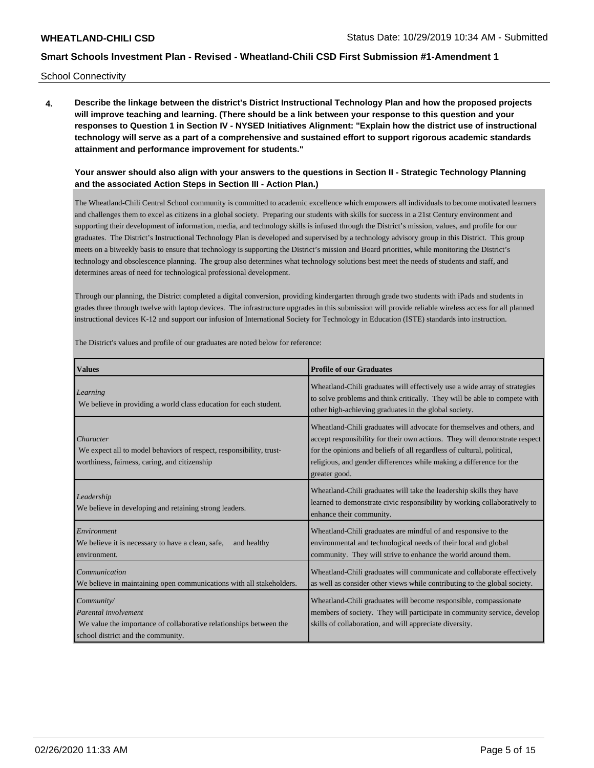School Connectivity

**4. Describe the linkage between the district's District Instructional Technology Plan and how the proposed projects will improve teaching and learning. (There should be a link between your response to this question and your responses to Question 1 in Section IV - NYSED Initiatives Alignment: "Explain how the district use of instructional technology will serve as a part of a comprehensive and sustained effort to support rigorous academic standards attainment and performance improvement for students."** 

**Your answer should also align with your answers to the questions in Section II - Strategic Technology Planning and the associated Action Steps in Section III - Action Plan.)**

The Wheatland-Chili Central School community is committed to academic excellence which empowers all individuals to become motivated learners and challenges them to excel as citizens in a global society. Preparing our students with skills for success in a 21st Century environment and supporting their development of information, media, and technology skills is infused through the District's mission, values, and profile for our graduates. The District's Instructional Technology Plan is developed and supervised by a technology advisory group in this District. This group meets on a biweekly basis to ensure that technology is supporting the District's mission and Board priorities, while monitoring the District's technology and obsolescence planning. The group also determines what technology solutions best meet the needs of students and staff, and determines areas of need for technological professional development.

Through our planning, the District completed a digital conversion, providing kindergarten through grade two students with iPads and students in grades three through twelve with laptop devices. The infrastructure upgrades in this submission will provide reliable wireless access for all planned instructional devices K-12 and support our infusion of International Society for Technology in Education (ISTE) standards into instruction.

The District's values and profile of our graduates are noted below for reference:

| <b>Values</b>                                                                                                                                  | <b>Profile of our Graduates</b>                                                                                                                                                                                                                                                                                        |
|------------------------------------------------------------------------------------------------------------------------------------------------|------------------------------------------------------------------------------------------------------------------------------------------------------------------------------------------------------------------------------------------------------------------------------------------------------------------------|
| Learning<br>We believe in providing a world class education for each student.                                                                  | Wheatland-Chili graduates will effectively use a wide array of strategies<br>to solve problems and think critically. They will be able to compete with<br>other high-achieving graduates in the global society.                                                                                                        |
| Character<br>We expect all to model behaviors of respect, responsibility, trust-<br>worthiness, fairness, caring, and citizenship              | Wheatland-Chili graduates will advocate for themselves and others, and<br>accept responsibility for their own actions. They will demonstrate respect<br>for the opinions and beliefs of all regardless of cultural, political,<br>religious, and gender differences while making a difference for the<br>greater good. |
| Leadership<br>We believe in developing and retaining strong leaders.                                                                           | Wheatland-Chili graduates will take the leadership skills they have<br>learned to demonstrate civic responsibility by working collaboratively to<br>enhance their community.                                                                                                                                           |
| Environment<br>We believe it is necessary to have a clean, safe,<br>and healthy<br>environment.                                                | Wheatland-Chili graduates are mindful of and responsive to the<br>environmental and technological needs of their local and global<br>community. They will strive to enhance the world around them.                                                                                                                     |
| Communication<br>We believe in maintaining open communications with all stakeholders.                                                          | Wheatland-Chili graduates will communicate and collaborate effectively<br>as well as consider other views while contributing to the global society.                                                                                                                                                                    |
| Community/<br>Parental involvement<br>We value the importance of collaborative relationships between the<br>school district and the community. | Wheatland-Chili graduates will become responsible, compassionate<br>members of society. They will participate in community service, develop<br>skills of collaboration, and will appreciate diversity.                                                                                                                 |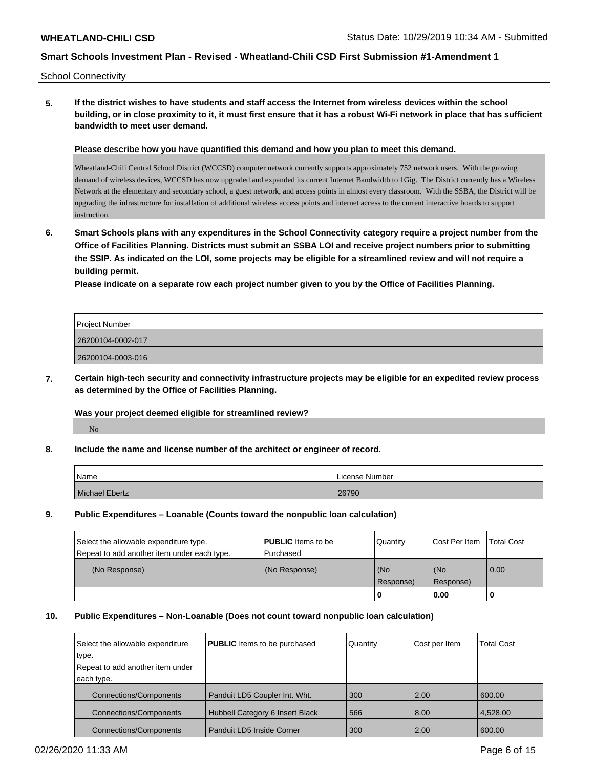School Connectivity

**5. If the district wishes to have students and staff access the Internet from wireless devices within the school building, or in close proximity to it, it must first ensure that it has a robust Wi-Fi network in place that has sufficient bandwidth to meet user demand.**

**Please describe how you have quantified this demand and how you plan to meet this demand.**

Wheatland-Chili Central School District (WCCSD) computer network currently supports approximately 752 network users. With the growing demand of wireless devices, WCCSD has now upgraded and expanded its current Internet Bandwidth to 1Gig. The District currently has a Wireless Network at the elementary and secondary school, a guest network, and access points in almost every classroom. With the SSBA, the District will be upgrading the infrastructure for installation of additional wireless access points and internet access to the current interactive boards to support instruction.

**6. Smart Schools plans with any expenditures in the School Connectivity category require a project number from the Office of Facilities Planning. Districts must submit an SSBA LOI and receive project numbers prior to submitting the SSIP. As indicated on the LOI, some projects may be eligible for a streamlined review and will not require a building permit.**

**Please indicate on a separate row each project number given to you by the Office of Facilities Planning.**

| <b>Project Number</b> |  |
|-----------------------|--|
| 26200104-0002-017     |  |
| 26200104-0003-016     |  |

**7. Certain high-tech security and connectivity infrastructure projects may be eligible for an expedited review process as determined by the Office of Facilities Planning.**

**Was your project deemed eligible for streamlined review?**

No

**8. Include the name and license number of the architect or engineer of record.**

| Name           | License Number |
|----------------|----------------|
| Michael Ebertz | 26790          |

**9. Public Expenditures – Loanable (Counts toward the nonpublic loan calculation)**

| Select the allowable expenditure type.<br>Repeat to add another item under each type. | <b>PUBLIC</b> Items to be<br>Purchased | Quantity         | Cost Per Item    | <b>Total Cost</b> |
|---------------------------------------------------------------------------------------|----------------------------------------|------------------|------------------|-------------------|
| (No Response)                                                                         | (No Response)                          | (No<br>Response) | (No<br>Response) | 0.00              |
|                                                                                       |                                        | 0                | 0.00             |                   |

#### **10. Public Expenditures – Non-Loanable (Does not count toward nonpublic loan calculation)**

| Select the allowable expenditure | <b>PUBLIC</b> Items to be purchased | Quantity | Cost per Item | <b>Total Cost</b> |
|----------------------------------|-------------------------------------|----------|---------------|-------------------|
| type.                            |                                     |          |               |                   |
| Repeat to add another item under |                                     |          |               |                   |
| each type.                       |                                     |          |               |                   |
| <b>Connections/Components</b>    | Panduit LD5 Coupler Int. Wht.       | 300      | 2.00          | 600.00            |
| <b>Connections/Components</b>    | Hubbell Category 6 Insert Black     | 566      | 8.00          | 4.528.00          |
| <b>Connections/Components</b>    | Panduit LD5 Inside Corner           | 300      | 2.00          | 600.00            |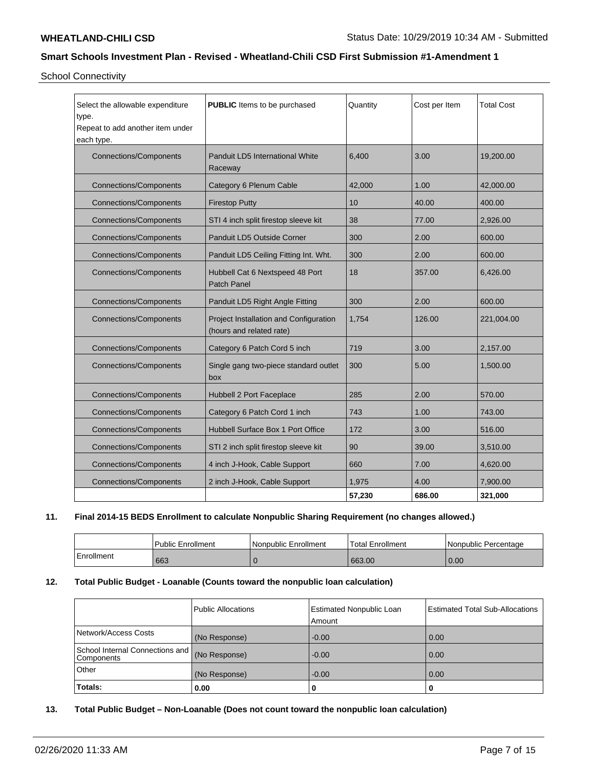School Connectivity

| Select the allowable expenditure<br>type.<br>Repeat to add another item under<br>each type. | <b>PUBLIC</b> Items to be purchased                                | Quantity        | Cost per Item | <b>Total Cost</b> |
|---------------------------------------------------------------------------------------------|--------------------------------------------------------------------|-----------------|---------------|-------------------|
| <b>Connections/Components</b>                                                               | Panduit LD5 International White<br>Raceway                         | 6,400           | 3.00          | 19,200.00         |
| <b>Connections/Components</b>                                                               | Category 6 Plenum Cable                                            | 42,000          | 1.00          | 42,000.00         |
| <b>Connections/Components</b>                                                               | <b>Firestop Putty</b>                                              | 10 <sup>1</sup> | 40.00         | 400.00            |
| <b>Connections/Components</b>                                                               | STI 4 inch split firestop sleeve kit                               | 38              | 77.00         | 2,926.00          |
| <b>Connections/Components</b>                                                               | Panduit LD5 Outside Corner                                         | 300             | 2.00          | 600.00            |
| <b>Connections/Components</b>                                                               | Panduit LD5 Ceiling Fitting Int. Wht.                              | 300             | 2.00          | 600.00            |
| <b>Connections/Components</b>                                                               | Hubbell Cat 6 Nextspeed 48 Port<br>Patch Panel                     | 18              | 357.00        | 6.426.00          |
| <b>Connections/Components</b>                                                               | Panduit LD5 Right Angle Fitting                                    | 300             | 2.00          | 600.00            |
| <b>Connections/Components</b>                                                               | Project Installation and Configuration<br>(hours and related rate) | 1,754           | 126.00        | 221,004.00        |
| <b>Connections/Components</b>                                                               | Category 6 Patch Cord 5 inch                                       | 719             | 3.00          | 2,157.00          |
| <b>Connections/Components</b>                                                               | Single gang two-piece standard outlet<br>box                       | 300             | 5.00          | 1,500.00          |
| <b>Connections/Components</b>                                                               | Hubbell 2 Port Faceplace                                           | 285             | 2.00          | 570.00            |
| <b>Connections/Components</b>                                                               | Category 6 Patch Cord 1 inch                                       | 743             | 1.00          | 743.00            |
| <b>Connections/Components</b>                                                               | Hubbell Surface Box 1 Port Office                                  | 172             | 3.00          | 516.00            |
| <b>Connections/Components</b>                                                               | STI 2 inch split firestop sleeve kit                               | 90              | 39.00         | 3,510.00          |
| <b>Connections/Components</b>                                                               | 4 inch J-Hook, Cable Support                                       | 660             | 7.00          | 4,620.00          |
| <b>Connections/Components</b>                                                               | 2 inch J-Hook, Cable Support                                       | 1,975           | 4.00          | 7,900.00          |
|                                                                                             |                                                                    | 57,230          | 686.00        | 321,000           |

# **11. Final 2014-15 BEDS Enrollment to calculate Nonpublic Sharing Requirement (no changes allowed.)**

|            | l Public Enrollment | Nonpublic Enrollment | <b>Total Enrollment</b> | l Nonpublic Percentage |
|------------|---------------------|----------------------|-------------------------|------------------------|
| Enrollment | 663                 |                      | 663.00                  | 0.00                   |

## **12. Total Public Budget - Loanable (Counts toward the nonpublic loan calculation)**

| Totals:                                         | (No Response)<br>0.00 | $-0.00$<br>0                              | 0.00<br>0                              |
|-------------------------------------------------|-----------------------|-------------------------------------------|----------------------------------------|
| Other                                           |                       |                                           |                                        |
| School Internal Connections and  <br>Components | (No Response)         | $-0.00$                                   | 0.00                                   |
| Network/Access Costs                            | (No Response)         | $-0.00$                                   | 0.00                                   |
|                                                 | Public Allocations    | <b>Estimated Nonpublic Loan</b><br>Amount | <b>Estimated Total Sub-Allocations</b> |

## **13. Total Public Budget – Non-Loanable (Does not count toward the nonpublic loan calculation)**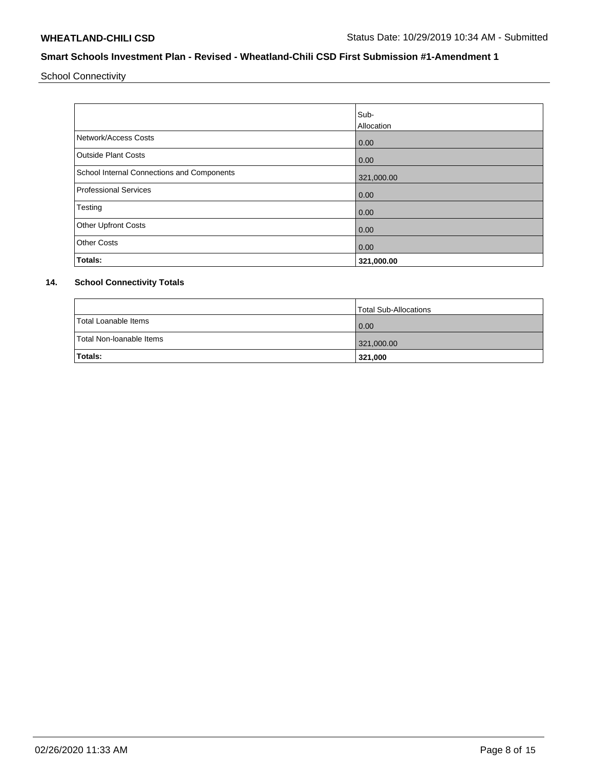School Connectivity

|                                            | Sub-       |
|--------------------------------------------|------------|
|                                            | Allocation |
| Network/Access Costs                       | 0.00       |
| <b>Outside Plant Costs</b>                 | 0.00       |
| School Internal Connections and Components | 321,000.00 |
| <b>Professional Services</b>               | 0.00       |
| Testing                                    | 0.00       |
| <b>Other Upfront Costs</b>                 | 0.00       |
| <b>Other Costs</b>                         | 0.00       |
| Totals:                                    | 321,000.00 |

## **14. School Connectivity Totals**

|                          | Total Sub-Allocations |
|--------------------------|-----------------------|
| Total Loanable Items     | 0.00                  |
| Total Non-Ioanable Items | 321,000.00            |
| <b>Totals:</b>           | 321,000               |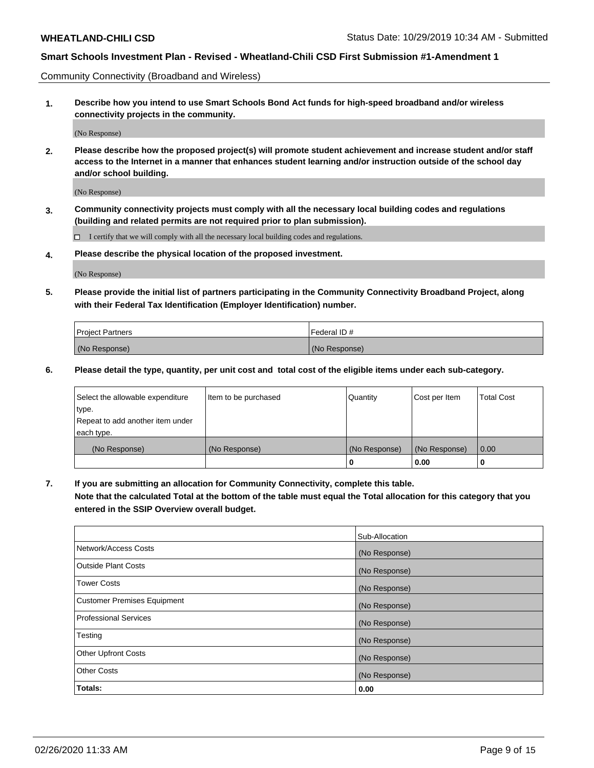Community Connectivity (Broadband and Wireless)

**1. Describe how you intend to use Smart Schools Bond Act funds for high-speed broadband and/or wireless connectivity projects in the community.**

(No Response)

**2. Please describe how the proposed project(s) will promote student achievement and increase student and/or staff access to the Internet in a manner that enhances student learning and/or instruction outside of the school day and/or school building.**

(No Response)

**3. Community connectivity projects must comply with all the necessary local building codes and regulations (building and related permits are not required prior to plan submission).**

 $\Box$  I certify that we will comply with all the necessary local building codes and regulations.

**4. Please describe the physical location of the proposed investment.**

(No Response)

**5. Please provide the initial list of partners participating in the Community Connectivity Broadband Project, along with their Federal Tax Identification (Employer Identification) number.**

| <b>Project Partners</b> | l Federal ID # |
|-------------------------|----------------|
| (No Response)           | (No Response)  |

**6. Please detail the type, quantity, per unit cost and total cost of the eligible items under each sub-category.**

| Select the allowable expenditure | Item to be purchased | Quantity      | Cost per Item | <b>Total Cost</b> |
|----------------------------------|----------------------|---------------|---------------|-------------------|
| type.                            |                      |               |               |                   |
| Repeat to add another item under |                      |               |               |                   |
| each type.                       |                      |               |               |                   |
| (No Response)                    | (No Response)        | (No Response) | (No Response) | 0.00              |
|                                  |                      | U             | 0.00          | -0                |

**7. If you are submitting an allocation for Community Connectivity, complete this table.**

**Note that the calculated Total at the bottom of the table must equal the Total allocation for this category that you entered in the SSIP Overview overall budget.**

|                                    | Sub-Allocation |
|------------------------------------|----------------|
| Network/Access Costs               | (No Response)  |
| Outside Plant Costs                | (No Response)  |
| <b>Tower Costs</b>                 | (No Response)  |
| <b>Customer Premises Equipment</b> | (No Response)  |
| <b>Professional Services</b>       | (No Response)  |
| Testing                            | (No Response)  |
| <b>Other Upfront Costs</b>         | (No Response)  |
| <b>Other Costs</b>                 | (No Response)  |
| Totals:                            | 0.00           |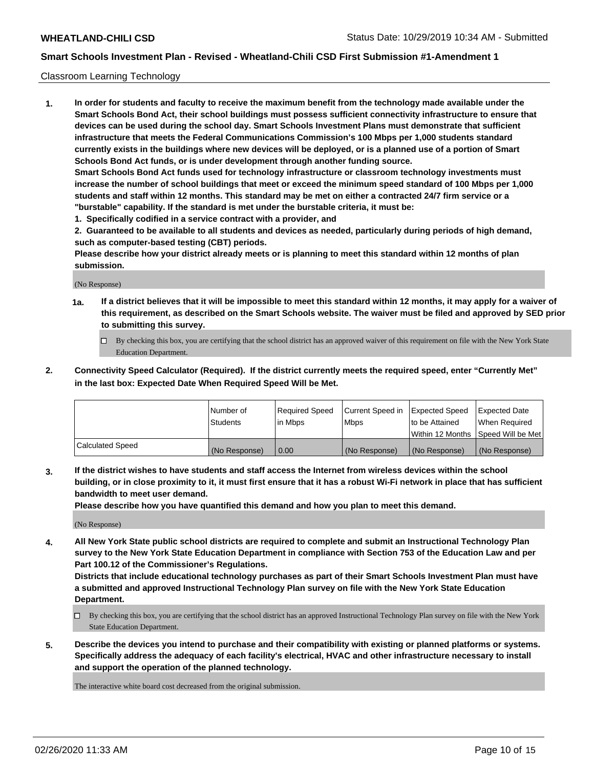## Classroom Learning Technology

**1. In order for students and faculty to receive the maximum benefit from the technology made available under the Smart Schools Bond Act, their school buildings must possess sufficient connectivity infrastructure to ensure that devices can be used during the school day. Smart Schools Investment Plans must demonstrate that sufficient infrastructure that meets the Federal Communications Commission's 100 Mbps per 1,000 students standard currently exists in the buildings where new devices will be deployed, or is a planned use of a portion of Smart Schools Bond Act funds, or is under development through another funding source. Smart Schools Bond Act funds used for technology infrastructure or classroom technology investments must increase the number of school buildings that meet or exceed the minimum speed standard of 100 Mbps per 1,000 students and staff within 12 months. This standard may be met on either a contracted 24/7 firm service or a "burstable" capability. If the standard is met under the burstable criteria, it must be:**

**1. Specifically codified in a service contract with a provider, and**

**2. Guaranteed to be available to all students and devices as needed, particularly during periods of high demand, such as computer-based testing (CBT) periods.**

**Please describe how your district already meets or is planning to meet this standard within 12 months of plan submission.**

(No Response)

- **1a. If a district believes that it will be impossible to meet this standard within 12 months, it may apply for a waiver of this requirement, as described on the Smart Schools website. The waiver must be filed and approved by SED prior to submitting this survey.**
	- By checking this box, you are certifying that the school district has an approved waiver of this requirement on file with the New York State Education Department.
- **2. Connectivity Speed Calculator (Required). If the district currently meets the required speed, enter "Currently Met" in the last box: Expected Date When Required Speed Will be Met.**

|                  | l Number of     | Required Speed | Current Speed in | <b>Expected Speed</b> | <b>Expected Date</b>                |
|------------------|-----------------|----------------|------------------|-----------------------|-------------------------------------|
|                  | <b>Students</b> | l in Mbps      | l Mbps           | to be Attained        | When Required                       |
|                  |                 |                |                  |                       | Within 12 Months  Speed Will be Met |
| Calculated Speed | (No Response)   | 0.00           | (No Response)    | l (No Response)       | (No Response)                       |

**3. If the district wishes to have students and staff access the Internet from wireless devices within the school building, or in close proximity to it, it must first ensure that it has a robust Wi-Fi network in place that has sufficient bandwidth to meet user demand.**

**Please describe how you have quantified this demand and how you plan to meet this demand.**

(No Response)

**4. All New York State public school districts are required to complete and submit an Instructional Technology Plan survey to the New York State Education Department in compliance with Section 753 of the Education Law and per Part 100.12 of the Commissioner's Regulations.**

**Districts that include educational technology purchases as part of their Smart Schools Investment Plan must have a submitted and approved Instructional Technology Plan survey on file with the New York State Education Department.**

- By checking this box, you are certifying that the school district has an approved Instructional Technology Plan survey on file with the New York State Education Department.
- **5. Describe the devices you intend to purchase and their compatibility with existing or planned platforms or systems. Specifically address the adequacy of each facility's electrical, HVAC and other infrastructure necessary to install and support the operation of the planned technology.**

The interactive white board cost decreased from the original submission.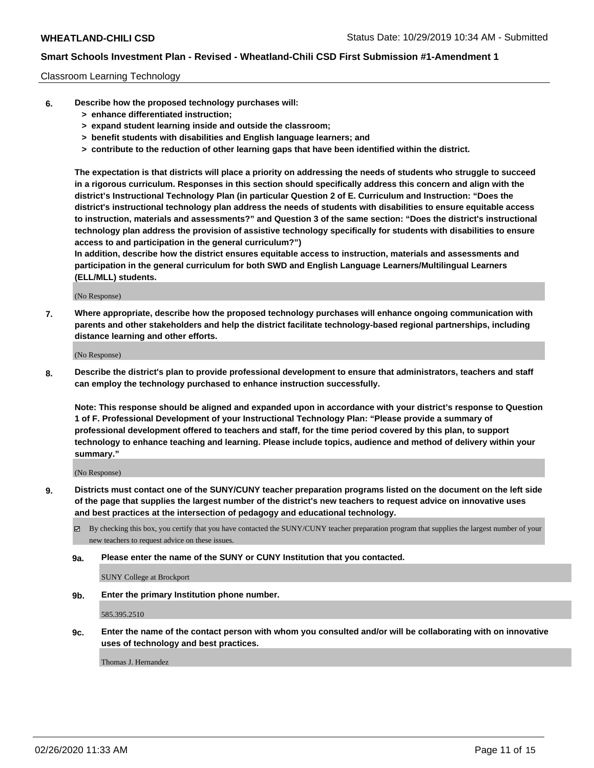## Classroom Learning Technology

- **6. Describe how the proposed technology purchases will:**
	- **> enhance differentiated instruction;**
	- **> expand student learning inside and outside the classroom;**
	- **> benefit students with disabilities and English language learners; and**
	- **> contribute to the reduction of other learning gaps that have been identified within the district.**

**The expectation is that districts will place a priority on addressing the needs of students who struggle to succeed in a rigorous curriculum. Responses in this section should specifically address this concern and align with the district's Instructional Technology Plan (in particular Question 2 of E. Curriculum and Instruction: "Does the district's instructional technology plan address the needs of students with disabilities to ensure equitable access to instruction, materials and assessments?" and Question 3 of the same section: "Does the district's instructional technology plan address the provision of assistive technology specifically for students with disabilities to ensure access to and participation in the general curriculum?")**

**In addition, describe how the district ensures equitable access to instruction, materials and assessments and participation in the general curriculum for both SWD and English Language Learners/Multilingual Learners (ELL/MLL) students.**

(No Response)

**7. Where appropriate, describe how the proposed technology purchases will enhance ongoing communication with parents and other stakeholders and help the district facilitate technology-based regional partnerships, including distance learning and other efforts.**

(No Response)

**8. Describe the district's plan to provide professional development to ensure that administrators, teachers and staff can employ the technology purchased to enhance instruction successfully.**

**Note: This response should be aligned and expanded upon in accordance with your district's response to Question 1 of F. Professional Development of your Instructional Technology Plan: "Please provide a summary of professional development offered to teachers and staff, for the time period covered by this plan, to support technology to enhance teaching and learning. Please include topics, audience and method of delivery within your summary."**

(No Response)

- **9. Districts must contact one of the SUNY/CUNY teacher preparation programs listed on the document on the left side of the page that supplies the largest number of the district's new teachers to request advice on innovative uses and best practices at the intersection of pedagogy and educational technology.**
	- By checking this box, you certify that you have contacted the SUNY/CUNY teacher preparation program that supplies the largest number of your new teachers to request advice on these issues.
	- **9a. Please enter the name of the SUNY or CUNY Institution that you contacted.**

SUNY College at Brockport

**9b. Enter the primary Institution phone number.**

585.395.2510

**9c. Enter the name of the contact person with whom you consulted and/or will be collaborating with on innovative uses of technology and best practices.**

Thomas J. Hernandez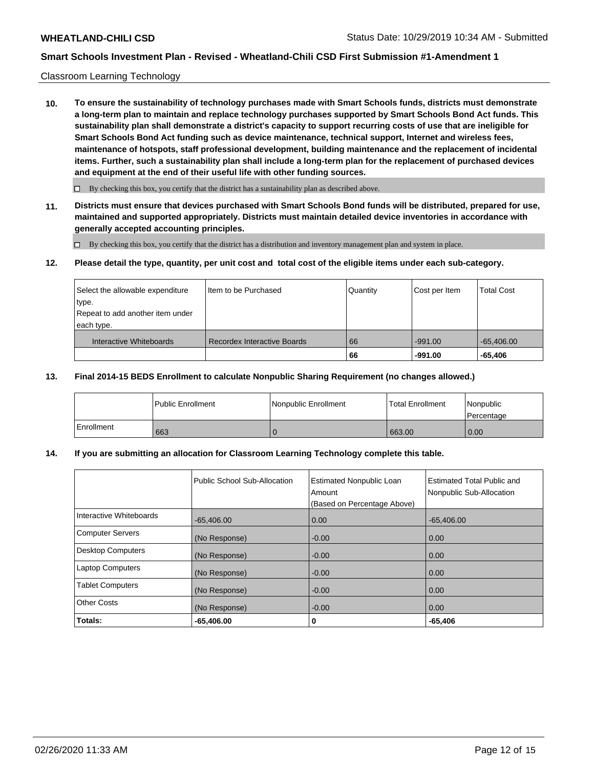## Classroom Learning Technology

**10. To ensure the sustainability of technology purchases made with Smart Schools funds, districts must demonstrate a long-term plan to maintain and replace technology purchases supported by Smart Schools Bond Act funds. This sustainability plan shall demonstrate a district's capacity to support recurring costs of use that are ineligible for Smart Schools Bond Act funding such as device maintenance, technical support, Internet and wireless fees, maintenance of hotspots, staff professional development, building maintenance and the replacement of incidental items. Further, such a sustainability plan shall include a long-term plan for the replacement of purchased devices and equipment at the end of their useful life with other funding sources.**

 $\Box$  By checking this box, you certify that the district has a sustainability plan as described above.

**11. Districts must ensure that devices purchased with Smart Schools Bond funds will be distributed, prepared for use, maintained and supported appropriately. Districts must maintain detailed device inventories in accordance with generally accepted accounting principles.**

By checking this box, you certify that the district has a distribution and inventory management plan and system in place.

#### **12. Please detail the type, quantity, per unit cost and total cost of the eligible items under each sub-category.**

| Select the allowable expenditure<br>type.<br>Repeat to add another item under<br>each type. | Item to be Purchased        | Quantity | Cost per Item          | <b>Total Cost</b>         |
|---------------------------------------------------------------------------------------------|-----------------------------|----------|------------------------|---------------------------|
| Interactive Whiteboards                                                                     | Recordex Interactive Boards | 66<br>66 | $-991.00$<br>$-991.00$ | $-65,406.00$<br>$-65.406$ |

#### **13. Final 2014-15 BEDS Enrollment to calculate Nonpublic Sharing Requirement (no changes allowed.)**

|              | l Public Enrollment | Nonpublic Enrollment | <b>Total Enrollment</b> | Nonpublic<br>l Percentage |
|--------------|---------------------|----------------------|-------------------------|---------------------------|
| l Enrollment | 663                 |                      | 663.00                  | 0.00                      |

## **14. If you are submitting an allocation for Classroom Learning Technology complete this table.**

|                          | Public School Sub-Allocation | <b>Estimated Nonpublic Loan</b><br>Amount<br>(Based on Percentage Above) | Estimated Total Public and<br>Nonpublic Sub-Allocation |
|--------------------------|------------------------------|--------------------------------------------------------------------------|--------------------------------------------------------|
| Interactive Whiteboards  | $-65,406.00$                 | 0.00                                                                     | $-65,406.00$                                           |
| <b>Computer Servers</b>  | (No Response)                | $-0.00$                                                                  | 0.00                                                   |
| <b>Desktop Computers</b> | (No Response)                | $-0.00$                                                                  | 0.00                                                   |
| <b>Laptop Computers</b>  | (No Response)                | $-0.00$                                                                  | 0.00                                                   |
| <b>Tablet Computers</b>  | (No Response)                | $-0.00$                                                                  | 0.00                                                   |
| <b>Other Costs</b>       | (No Response)                | $-0.00$                                                                  | 0.00                                                   |
| Totals:                  | $-65.406.00$                 | 0                                                                        | $-65,406$                                              |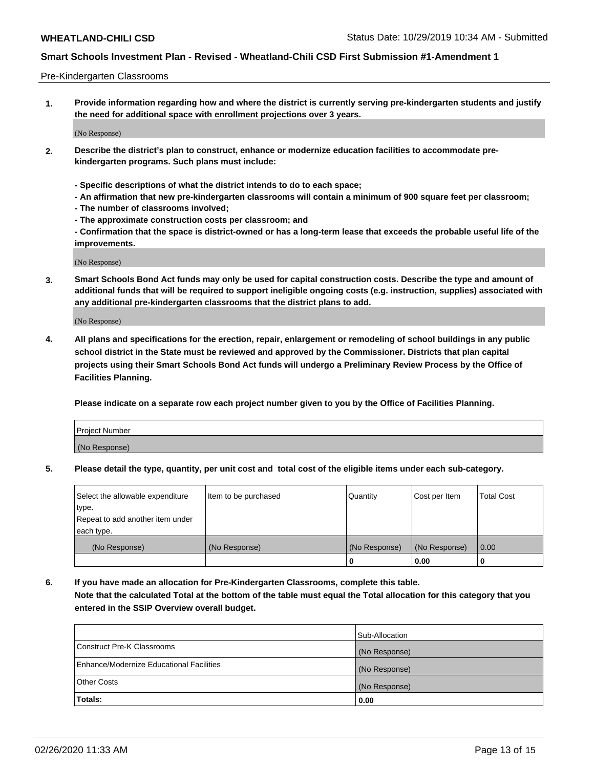#### Pre-Kindergarten Classrooms

**1. Provide information regarding how and where the district is currently serving pre-kindergarten students and justify the need for additional space with enrollment projections over 3 years.**

(No Response)

- **2. Describe the district's plan to construct, enhance or modernize education facilities to accommodate prekindergarten programs. Such plans must include:**
	- **Specific descriptions of what the district intends to do to each space;**
	- **An affirmation that new pre-kindergarten classrooms will contain a minimum of 900 square feet per classroom;**
	- **The number of classrooms involved;**
	- **The approximate construction costs per classroom; and**
	- **Confirmation that the space is district-owned or has a long-term lease that exceeds the probable useful life of the improvements.**

(No Response)

**3. Smart Schools Bond Act funds may only be used for capital construction costs. Describe the type and amount of additional funds that will be required to support ineligible ongoing costs (e.g. instruction, supplies) associated with any additional pre-kindergarten classrooms that the district plans to add.**

(No Response)

**4. All plans and specifications for the erection, repair, enlargement or remodeling of school buildings in any public school district in the State must be reviewed and approved by the Commissioner. Districts that plan capital projects using their Smart Schools Bond Act funds will undergo a Preliminary Review Process by the Office of Facilities Planning.**

**Please indicate on a separate row each project number given to you by the Office of Facilities Planning.**

| Project Number |  |
|----------------|--|
| (No Response)  |  |
|                |  |

**5. Please detail the type, quantity, per unit cost and total cost of the eligible items under each sub-category.**

| Select the allowable expenditure | Item to be purchased | Quantity      | Cost per Item | <b>Total Cost</b> |
|----------------------------------|----------------------|---------------|---------------|-------------------|
| type.                            |                      |               |               |                   |
| Repeat to add another item under |                      |               |               |                   |
| each type.                       |                      |               |               |                   |
| (No Response)                    | (No Response)        | (No Response) | (No Response) | 0.00              |
|                                  |                      | U             | 0.00          |                   |

**6. If you have made an allocation for Pre-Kindergarten Classrooms, complete this table. Note that the calculated Total at the bottom of the table must equal the Total allocation for this category that you entered in the SSIP Overview overall budget.**

| Totals:                                  | 0.00           |
|------------------------------------------|----------------|
| <b>Other Costs</b>                       | (No Response)  |
| Enhance/Modernize Educational Facilities | (No Response)  |
| Construct Pre-K Classrooms               | (No Response)  |
|                                          | Sub-Allocation |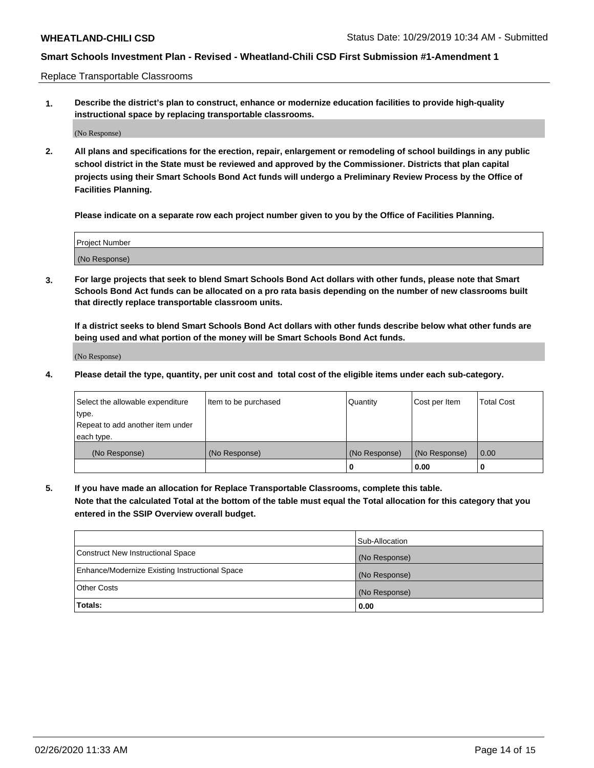Replace Transportable Classrooms

**1. Describe the district's plan to construct, enhance or modernize education facilities to provide high-quality instructional space by replacing transportable classrooms.**

(No Response)

**2. All plans and specifications for the erection, repair, enlargement or remodeling of school buildings in any public school district in the State must be reviewed and approved by the Commissioner. Districts that plan capital projects using their Smart Schools Bond Act funds will undergo a Preliminary Review Process by the Office of Facilities Planning.**

**Please indicate on a separate row each project number given to you by the Office of Facilities Planning.**

| Project Number |  |
|----------------|--|
|                |  |
|                |  |
|                |  |
| (No Response)  |  |
|                |  |
|                |  |

**3. For large projects that seek to blend Smart Schools Bond Act dollars with other funds, please note that Smart Schools Bond Act funds can be allocated on a pro rata basis depending on the number of new classrooms built that directly replace transportable classroom units.**

**If a district seeks to blend Smart Schools Bond Act dollars with other funds describe below what other funds are being used and what portion of the money will be Smart Schools Bond Act funds.**

(No Response)

**4. Please detail the type, quantity, per unit cost and total cost of the eligible items under each sub-category.**

| Select the allowable expenditure           | Item to be purchased | Quantity      | Cost per Item | <b>Total Cost</b> |
|--------------------------------------------|----------------------|---------------|---------------|-------------------|
| ∣type.<br>Repeat to add another item under |                      |               |               |                   |
| each type.                                 |                      |               |               |                   |
| (No Response)                              | (No Response)        | (No Response) | (No Response) | 0.00              |
|                                            |                      | 0             | 0.00          |                   |

**5. If you have made an allocation for Replace Transportable Classrooms, complete this table. Note that the calculated Total at the bottom of the table must equal the Total allocation for this category that you entered in the SSIP Overview overall budget.**

|                                                | Sub-Allocation |
|------------------------------------------------|----------------|
| Construct New Instructional Space              | (No Response)  |
| Enhance/Modernize Existing Instructional Space | (No Response)  |
| <b>Other Costs</b>                             | (No Response)  |
| Totals:                                        | 0.00           |